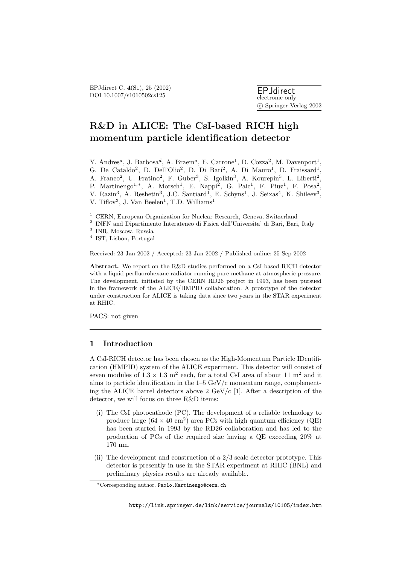# **R&D in ALICE: The CsI-based RICH high momentum particle identification detector**

Y. Andres<sup>a</sup>, J. Barbosa<sup>d</sup>, A. Braem<sup>a</sup>, E. Carrone<sup>1</sup>, D. Cozza<sup>2</sup>, M. Davenport<sup>1</sup>, G. De Cataldo<sup>2</sup>, D. Dell'Olio<sup>2</sup>, D. Di Bari<sup>2</sup>, A. Di Mauro<sup>1</sup>, D. Fraissard<sup>1</sup>, A. Franco<sup>2</sup>, U. Fratino<sup>2</sup>, F. Guber<sup>3</sup>, S. Igolkin<sup>3</sup>, A. Kourepin<sup>3</sup>, L. Liberti<sup>2</sup>, P. Martinengo<sup>1,∗</sup>, A. Morsch<sup>1</sup>, E. Nappi<sup>2</sup>, G. Paic<sup>1</sup>, F. Piuz<sup>1</sup>, F. Posa<sup>2</sup>, V. Razin<sup>3</sup>, A. Reshetin<sup>3</sup>, J.C. Santiard<sup>1</sup>, E. Schyns<sup>1</sup>, J. Seixas<sup>4</sup>, K. Shileev<sup>3</sup>, V. Tiflov<sup>3</sup>, J. Van Beelen<sup>1</sup>, T.D. Williams<sup>1</sup>

- <sup>1</sup> CERN, European Organization for Nuclear Research, Geneva, Switzerland
- $^{\rm 2}$  INFN and Dipartimento Interateneo di Fisica dell'Universita' di Bari, Bari, Italy
- <sup>3</sup> INR, Moscow, Russia
- <sup>4</sup> IST, Lisbon, Portugal

Received: 23 Jan 2002 / Accepted: 23 Jan 2002 / Published online: 25 Sep 2002

**Abstract.** We report on the R&D studies performed on a CsI-based RICH detector with a liquid perfluorohexane radiator running pure methane at atmospheric pressure. The development, initiated by the CERN RD26 project in 1993, has been pursued in the framework of the ALICE/HMPID collaboration. A prototype of the detector under construction for ALICE is taking data since two years in the STAR experiment at RHIC.

PACS: not given

# **1 Introduction**

A CsI-RICH detector has been chosen as the High-Momentum Particle IDentification (HMPID) system of the ALICE experiment. This detector will consist of seven modules of  $1.3 \times 1.3$  m<sup>2</sup> each, for a total CsI area of about 11 m<sup>2</sup> and it aims to particle identification in the  $1-5 \text{ GeV}/c$  momentum range, complementing the ALICE barrel detectors above 2 GeV/c [1]. After a description of the detector, we will focus on three R&D items:

- (i) The CsI photocathode (PC). The development of a reliable technology to produce large  $(64 \times 40 \text{ cm}^2)$  area PCs with high quantum efficiency  $(QE)$ has been started in 1993 by the RD26 collaboration and has led to the production of PCs of the required size having a QE exceeding 20% at 170 nm.
- (ii) The development and construction of a 2/3 scale detector prototype. This detector is presently in use in the STAR experiment at RHIC (BNL) and preliminary physics results are already available.

<sup>∗</sup>Corresponding author. Paolo.Martinengo@cern.ch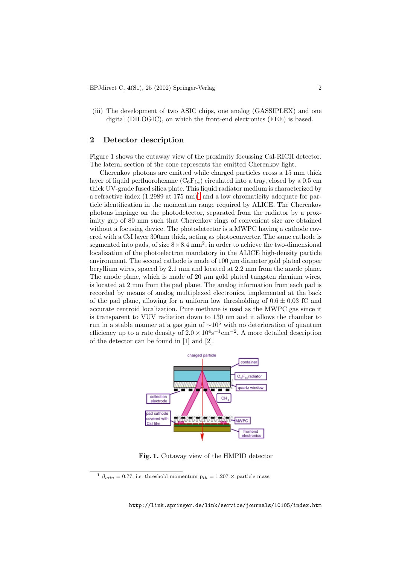(iii) The development of two ASIC chips, one analog (GASSIPLEX) and one digital (DILOGIC), on which the front-end electronics (FEE) is based.

#### **2Detector description**

Figure 1 shows the cutaway view of the proximity focussing CsI-RICH detector. The lateral section of the cone represents the emitted Cherenkov light.

Cherenkov photons are emitted while charged particles cross a 15 mm thick layer of liquid perfluorohexane  $(C_6F_{14})$  circulated into a tray, closed by a 0.5 cm thick UV-grade fused silica plate. This liquid radiator medium is characterized by a refractive index  $(1.2989 \text{ at } 175 \text{ nm})^1$  and a low chromaticity adequate for particle identification in the momentum range required by ALICE. The Cherenkov photons impinge on the photodetector, separated from the radiator by a proximity gap of 80 mm such that Cherenkov rings of convenient size are obtained without a focusing device. The photodetector is a MWPC having a cathode covered with a CsI layer 300nm thick, acting as photoconverter. The same cathode is segmented into pads, of size  $8 \times 8.4$  mm<sup>2</sup>, in order to achieve the two-dimensional localization of the photoelectron mandatory in the ALICE high-density particle environment. The second cathode is made of  $100 \mu m$  diameter gold plated copper beryllium wires, spaced by 2.1 mm and located at 2.2 mm from the anode plane. The anode plane, which is made of 20  $\mu$ m gold plated tungsten rhenium wires, is located at 2 mm from the pad plane. The analog information from each pad is recorded by means of analog multiplexed electronics, implemented at the back of the pad plane, allowing for a uniform low thresholding of  $0.6 \pm 0.03$  fC and accurate centroid localization. Pure methane is used as the MWPC gas since it is transparent to VUV radiation down to 130 nm and it allows the chamber to run in a stable manner at a gas gain of  $\sim 10^5$  with no deterioration of quantum efficiency up to a rate density of  $2.0 \times 10^4$ s<sup>-1</sup>cm<sup>-2</sup>. A more detailed description of the detector can be found in [1] and [2].



**Fig. 1.** Cutaway view of the HMPID detector

 $1 \beta_{min} = 0.77$ , i.e. threshold momentum  $p_{th} = 1.207 \times$  particle mass.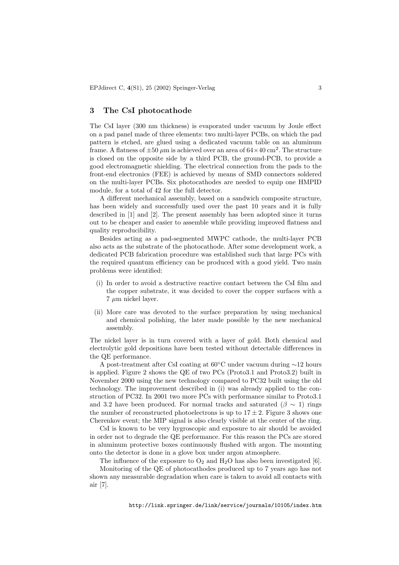#### **3 The CsI photocathode**

The CsI layer (300 nm thickness) is evaporated under vacuum by Joule effect on a pad panel made of three elements: two multi-layer PCBs, on which the pad pattern is etched, are glued using a dedicated vacuum table on an aluminum frame. A flatness of  $\pm 50 \ \mu m$  is achieved over an area of  $64 \times 40 \ \text{cm}^2$ . The structure is closed on the opposite side by a third PCB, the ground-PCB, to provide a good electromagnetic shielding. The electrical connection from the pads to the front-end electronics (FEE) is achieved by means of SMD connectors soldered on the multi-layer PCBs. Six photocathodes are needed to equip one HMPID module, for a total of 42 for the full detector.

A different mechanical assembly, based on a sandwich composite structure, has been widely and successfully used over the past 10 years and it is fully described in [1] and [2]. The present assembly has been adopted since it turns out to be cheaper and easier to assemble while providing improved flatness and quality reproducibility.

Besides acting as a pad-segmented MWPC cathode, the multi-layer PCB also acts as the substrate of the photocathode. After some development work, a dedicated PCB fabrication procedure was established such that large PCs with the required quantum efficiency can be produced with a good yield. Two main problems were identified:

- (i) In order to avoid a destructive reactive contact between the CsI film and the copper substrate, it was decided to cover the copper surfaces with a  $7 \mu m$  nickel layer.
- (ii) More care was devoted to the surface preparation by using mechanical and chemical polishing, the later made possible by the new mechanical assembly.

The nickel layer is in turn covered with a layer of gold. Both chemical and electrolytic gold depositions have been tested without detectable differences in the QE performance.

A post-treatment after CsI coating at 60◦C under vacuum during ∼12 hours is applied. Figure 2 shows the QE of two PCs (Proto3.1 and Proto3.2) built in November 2000 using the new technology compared to PC32 built using the old technology. The improvement described in (i) was already applied to the construction of PC32. In 2001 two more PCs with performance similar to Proto3.1 and 3.2 have been produced. For normal tracks and saturated ( $\beta \sim 1$ ) rings the number of reconstructed photoelectrons is up to  $17 \pm 2$ . Figure 3 shows one Cherenkov event; the MIP signal is also clearly visible at the center of the ring.

CsI is known to be very hygroscopic and exposure to air should be avoided in order not to degrade the QE performance. For this reason the PCs are stored in aluminum protective boxes continuously flushed with argon. The mounting onto the detector is done in a glove box under argon atmosphere.

The influence of the exposure to  $O_2$  and  $H_2O$  has also been investigated [6].

Monitoring of the QE of photocathodes produced up to 7 years ago has not shown any measurable degradation when care is taken to avoid all contacts with air [7].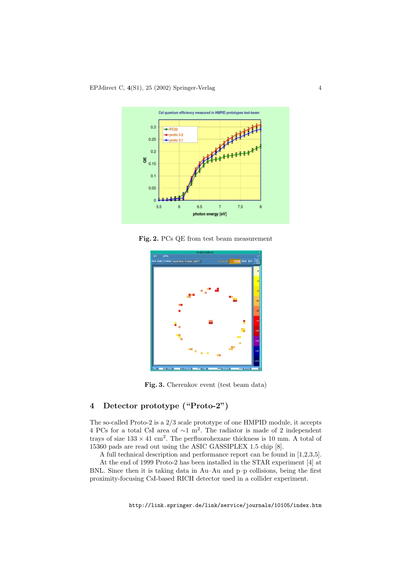

**Fig. 2.** PCs QE from test beam measurement



**Fig. 3.** Cherenkov event (test beam data)

## **4 Detector prototype ("Proto-2")**

The so-called Proto-2 is a 2/3 scale prototype of one HMPID module, it accepts 4 PCs for a total CsI area of <sup>∼</sup>1 m<sup>2</sup>. The radiator is made of 2 independent trays of size  $133 \times 41$  cm<sup>2</sup>. The perfluorohexane thickness is 10 mm. A total of 15360 pads are read out using the ASIC GASSIPLEX 1.5 chip [8].

A full technical description and performance report can be found in [1,2,3,5].

At the end of 1999 Proto-2 has been installed in the STAR experiment [4] at BNL. Since then it is taking data in Au–Au and p–p collisions, being the first proximity-focusing CsI-based RICH detector used in a collider experiment.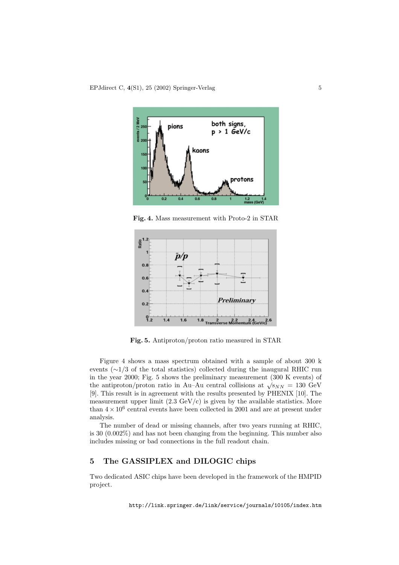

**Fig. 4.** Mass measurement with Proto-2 in STAR



**Fig. 5.** Antiproton/proton ratio measured in STAR

Figure 4 shows a mass spectrum obtained with a sample of about 300 k events ( $\sim$ 1/3 of the total statistics) collected during the inaugural RHIC run in the year 2000; Fig. 5 shows the preliminary measurement (300 K events) of the antiproton/proton ratio in Au–Au central collisions at  $\sqrt{s_{NN}} = 130$  GeV [9]. This result is in agreement with the results presented by PHENIX [10]. The measurement upper limit  $(2.3 \text{ GeV/c})$  is given by the available statistics. More than  $4 \times 10^6$  central events have been collected in 2001 and are at present under analysis.

The number of dead or missing channels, after two years running at RHIC, is 30 (0.002%) and has not been changing from the beginning. This number also includes missing or bad connections in the full readout chain.

## **5 The GASSIPLEX and DILOGIC chips**

Two dedicated ASIC chips have been developed in the framework of the HMPID project.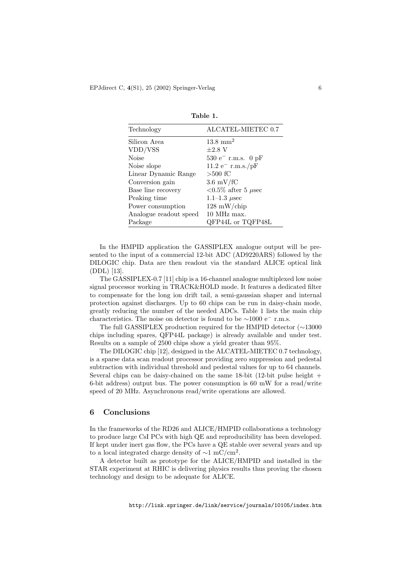| Technology             | ALCATEL-MIETEC 0.7             |
|------------------------|--------------------------------|
| Silicon Area           | $13.8 \text{ mm}^2$            |
| VDD/VSS                | $\pm 2.8$ V                    |
| <b>Noise</b>           | $530 e^-$ r.m.s. 0 pF          |
| Noise slope            | $11.2 \text{ e}^{-}$ r.m.s./pF |
| Linear Dynamic Range   | $>500$ fC                      |
| Conversion gain        | $3.6 \text{ mV/fC}$            |
| Base line recovery     | $< 0.5\%$ after 5 $\mu$ sec    |
| Peaking time           | 1.1–1.3 $\mu$ sec              |
| Power consumption      | $128 \text{ mW/chip}$          |
| Analogue readout speed | 10 MHz max.                    |
| Package                | QFP44L or TQFP48L              |

**Table 1.**

In the HMPID application the GASSIPLEX analogue output will be presented to the input of a commercial 12-bit ADC (AD9220ARS) followed by the DILOGIC chip. Data are then readout via the standard ALICE optical link (DDL) [13].

The GASSIPLEX-0.7 [11] chip is a 16-channel analogue multiplexed low noise signal processor working in TRACK&HOLD mode. It features a dedicated filter to compensate for the long ion drift tail, a semi-gaussian shaper and internal protection against discharges. Up to 60 chips can be run in daisy-chain mode, greatly reducing the number of the needed ADCs. Table 1 lists the main chip characteristics. The noise on detector is found to be  $\sim$ 1000 e<sup>−</sup> r.m.s.

The full GASSIPLEX production required for the HMPID detector (∼13000 chips including spares, QFP44L package) is already available and under test. Results on a sample of 2500 chips show a yield greater than 95%.

The DILOGIC chip [12], designed in the ALCATEL-MIETEC 0.7 technology, is a sparse data scan readout processor providing zero suppression and pedestal subtraction with individual threshold and pedestal values for up to 64 channels. Several chips can be daisy-chained on the same  $18$ -bit  $(12$ -bit pulse height  $+$ 6-bit address) output bus. The power consumption is 60 mW for a read/write speed of 20 MHz. Asynchronous read/write operations are allowed.

## **6 Conclusions**

In the frameworks of the RD26 and ALICE/HMPID collaborations a technology to produce large CsI PCs with high QE and reproducibility has been developed. If kept under inert gas flow, the PCs have a QE stable over several years and up to a local integrated charge density of  $\sim$ 1 mC/cm<sup>2</sup>.

A detector built as prototype for the ALICE/HMPID and installed in the STAR experiment at RHIC is delivering physics results thus proving the chosen technology and design to be adequate for ALICE.